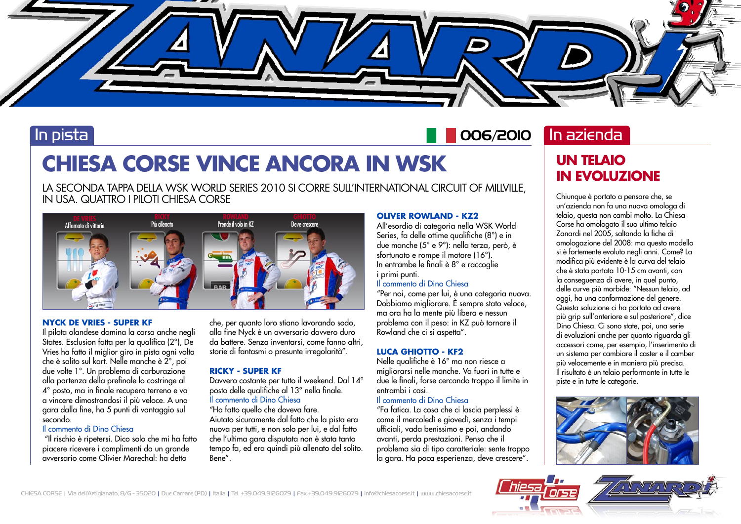

## In pista

# 006/2010 In azienda

# **CHIESA CORSE VINCE ANCORA IN WSK**

LA SECONDA TAPPA DELLA WSK WORLD SERIES 2010 SI CORRE SULL'INTERNATIONAL CIRCUIT OF MILLVILLE, IN USA. QUATTRO I PILOTI CHIESA CORSE



### **NYCK DE VRIES - SUPER KF**

Il pilota olandese domina la corsa anche negli States. Esclusion fatta per la qualifica (2°), De Vries ha fatto il miglior giro in pista ogni volta che è salito sul kart. Nelle manche è 2°, poi due volte 1°. Un problema di carburazione alla partenza della prefinale lo costringe al 4° posto, ma in finale recupera terreno e va a vincere dimostrandosi il più veloce. A una gara dalla fine, ha 5 punti di vantaggio sul secondo.

### Il commento di Dino Chiesa

 "Il rischio è ripetersi. Dico solo che mi ha fatto piacere ricevere i complimenti da un grande avversario come Olivier Marechal: ha detto

che, per quanto loro stiano lavorando sodo, alla fine Nyck è un avversario davvero duro da battere. Senza inventarsi, come fanno altri, storie di fantasmi o presunte irregolarità".

### **RICKY - SUPER KF**

Davvero costante per tutto il weekend. Dal 14° posto delle qualifiche al 13° nella finale. Il commento di Dino Chiesa

"Ha fatto quello che doveva fare. Aiutato sicuramente dal fatto che la pista era nuova per tutti, e non solo per lui, e dal fatto che l'ultima gara disputata non è stata tanto tempo fa, ed era quindi più allenato del solito. Bene".

### **OLIVER ROWLAND - KZ2**

All'esordio di categoria nella WSK World Series, fa delle ottime qualifiche (8°) e in due manche (5° e 9°): nella terza, però, è sfortunato e rompe il motore (16°). In entrambe le finali è 8° e raccoglie i primi punti.

### Il commento di Dino Chiesa

"Per noi, come per lui, è una categoria nuova. Dobbiamo migliorare. È sempre stato veloce, ma ora ha la mente più libera e nessun problema con il peso: in KZ può tornare il Rowland che ci si aspetta".

### **LUCA GHIOTTO - KF2**

Nelle qualifiche è 16° ma non riesce a migliorarsi nelle manche. Va fuori in tutte e due le finali, forse cercando troppo il limite in entrambi i casi.

### Il commento di Dino Chiesa

"Fa fatica. La cosa che ci lascia perplessi è come il mercoledì e giovedì, senza i tempi ufficiali, vada benissimo e poi, andando avanti, perda prestazioni. Penso che il problema sia di tipo caratteriale: sente troppo la gara. Ha poca esperienza, deve crescere".

## **UN TELAIO IN EVOLUZIONE**

Chiunque è portato a pensare che, se un'azienda non fa una nuova omologa di telaio, questa non cambi molto. La Chiesa Corse ha omologato il suo ultimo telaio Zanardi nel 2005, saltando la fiche di omologazione del 2008: ma questo modello si è fortemente evoluto negli anni. Come? La modifica più evidente è la curva del telaio che è stata portata 10-15 cm avanti, con la conseguenza di avere, in quel punto, delle curve più morbide: "Nessun telaio, ad oggi, ha una conformazione del genere. Questa soluzione ci ha portato ad avere più grip sull'anteriore e sul posteriore", dice Dino Chiesa. Ci sono state, poi, una serie di evoluzioni anche per quanto riguarda gli accessori come, per esempio, l'inserimento di un sistema per cambiare il caster e il camber più velocemente e in maniera più precisa. Il risultato è un telaio performante in tutte le piste e in tutte le categorie.